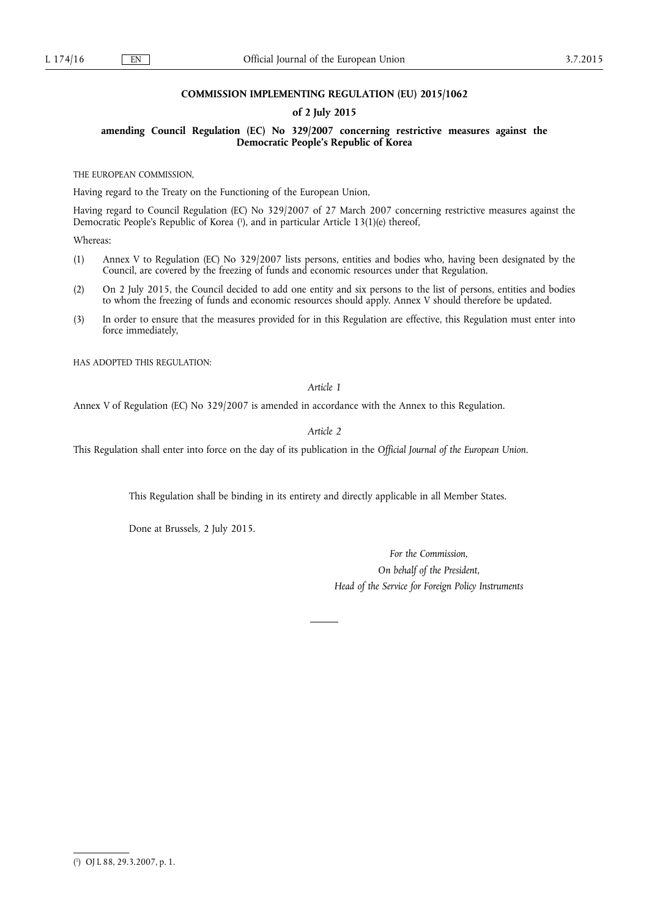## **COMMISSION IMPLEMENTING REGULATION (EU) 2015/1062**

## **of 2 July 2015**

**amending Council Regulation (EC) No 329/2007 concerning restrictive measures against the Democratic People's Republic of Korea** 

THE EUROPEAN COMMISSION,

Having regard to the Treaty on the Functioning of the European Union,

Having regard to Council Regulation (EC) No 329/2007 of 27 March 2007 concerning restrictive measures against the Democratic People's Republic of Korea (1), and in particular Article 13(1)(e) thereof,

Whereas:

- (1) Annex V to Regulation (EC) No 329/2007 lists persons, entities and bodies who, having been designated by the Council, are covered by the freezing of funds and economic resources under that Regulation.
- (2) On 2 July 2015, the Council decided to add one entity and six persons to the list of persons, entities and bodies to whom the freezing of funds and economic resources should apply. Annex V should therefore be updated.
- (3) In order to ensure that the measures provided for in this Regulation are effective, this Regulation must enter into force immediately,

HAS ADOPTED THIS REGULATION:

*Article 1* 

Annex V of Regulation (EC) No 329/2007 is amended in accordance with the Annex to this Regulation.

*Article 2* 

This Regulation shall enter into force on the day of its publication in the *Official Journal of the European Union*.

This Regulation shall be binding in its entirety and directly applicable in all Member States.

Done at Brussels, 2 July 2015.

*For the Commission, On behalf of the President, Head of the Service for Foreign Policy Instruments* 

<sup>(</sup> 1 ) OJ L 88, 29.3.2007, p. 1.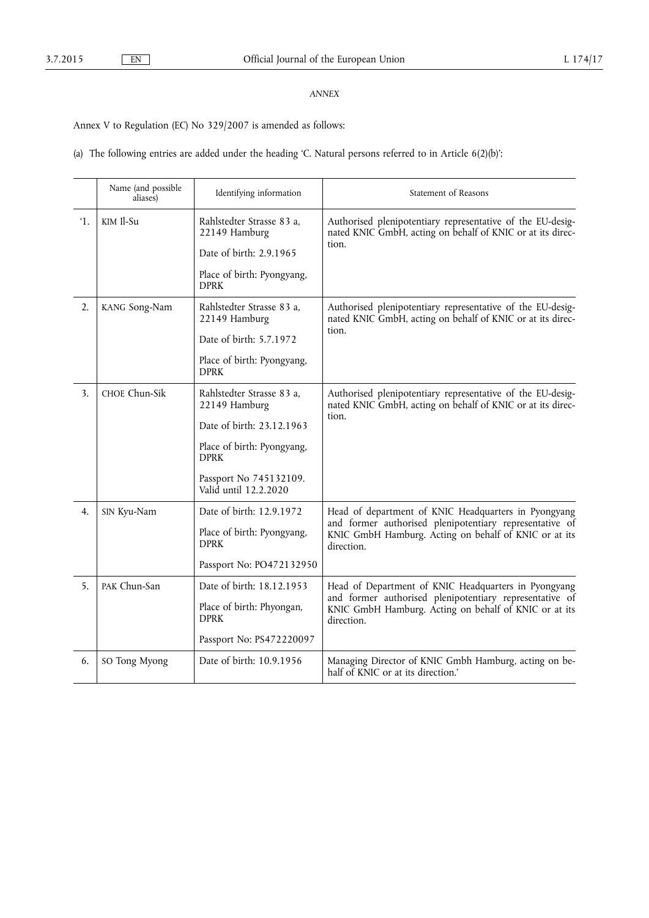## *ANNEX*

Annex V to Regulation (EC) No 329/2007 is amended as follows:

(a) The following entries are added under the heading 'C. Natural persons referred to in Article 6(2)(b)':

|                | Name (and possible<br>aliases) | Identifying information                         | Statement of Reasons                                                                                                                                                                   |
|----------------|--------------------------------|-------------------------------------------------|----------------------------------------------------------------------------------------------------------------------------------------------------------------------------------------|
| $^{\prime}1$ . | KIM Il-Su                      | Rahlstedter Strasse 83 a,<br>22149 Hamburg      | Authorised plenipotentiary representative of the EU-desig-<br>nated KNIC GmbH, acting on behalf of KNIC or at its direc-<br>tion.                                                      |
|                |                                | Date of birth: 2.9.1965                         |                                                                                                                                                                                        |
|                |                                | Place of birth: Pyongyang,<br><b>DPRK</b>       |                                                                                                                                                                                        |
| 2.             | KANG Song-Nam                  | Rahlstedter Strasse 83 a,<br>22149 Hamburg      | Authorised plenipotentiary representative of the EU-desig-<br>nated KNIC GmbH, acting on behalf of KNIC or at its direc-<br>tion.                                                      |
|                |                                | Date of birth: 5.7.1972                         |                                                                                                                                                                                        |
|                |                                | Place of birth: Pyongyang,<br><b>DPRK</b>       |                                                                                                                                                                                        |
| 3.             | CHOE Chun-Sik                  | Rahlstedter Strasse 83 a,<br>22149 Hamburg      | Authorised plenipotentiary representative of the EU-desig-<br>nated KNIC GmbH, acting on behalf of KNIC or at its direc-<br>tion.                                                      |
|                |                                | Date of birth: 23.12.1963                       |                                                                                                                                                                                        |
|                |                                | Place of birth: Pyongyang,<br><b>DPRK</b>       |                                                                                                                                                                                        |
|                |                                | Passport No 745132109.<br>Valid until 12.2.2020 |                                                                                                                                                                                        |
| 4.             | SIN Kyu-Nam                    | Date of birth: 12.9.1972                        | Head of department of KNIC Headquarters in Pyongyang<br>and former authorised plenipotentiary representative of<br>KNIC GmbH Hamburg. Acting on behalf of KNIC or at its<br>direction. |
|                |                                | Place of birth: Pyongyang,<br><b>DPRK</b>       |                                                                                                                                                                                        |
|                |                                | Passport No: PO472132950                        |                                                                                                                                                                                        |
| 5.             | PAK Chun-San                   | Date of birth: 18.12.1953                       | Head of Department of KNIC Headquarters in Pyongyang<br>and former authorised plenipotentiary representative of<br>KNIC GmbH Hamburg. Acting on behalf of KNIC or at its<br>direction. |
|                |                                | Place of birth: Phyongan,<br><b>DPRK</b>        |                                                                                                                                                                                        |
|                |                                | Passport No: PS472220097                        |                                                                                                                                                                                        |
| 6.             | SO Tong Myong                  | Date of birth: 10.9.1956                        | Managing Director of KNIC Gmbh Hamburg, acting on be-<br>half of KNIC or at its direction.                                                                                             |